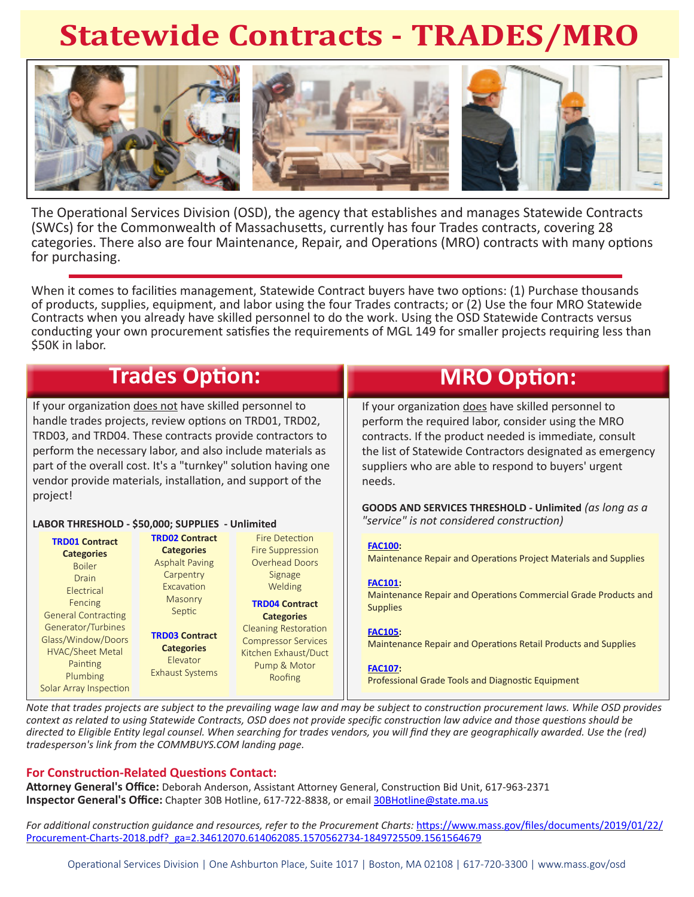# **Statewide Contracts - TRADES/MRO**



The Operational Services Division (OSD), the agency that establishes and manages Statewide Contracts (SWCs) for the Commonwealth of Massachusetts, currently has four Trades contracts, covering 28 categories. There also are four Maintenance, Repair, and Operations (MRO) contracts with many options for purchasing.

When it comes to facilities management, Statewide Contract buyers have two options: (1) Purchase thousands of products, supplies, equipment, and labor using the four Trades contracts; or (2) Use the four MRO Statewide Contracts when you already have skilled personnel to do the work. Using the OSD Statewide Contracts versus conducting your own procurement satisfies the requirements of MGL 149 for smaller projects requiring less than \$50K in labor.

| <b>Trades Option:</b>                                                                                                                                                                                                                                                                                                                                                                                                                                                 |                                                                                                                                                                                |                                                                                                                                                                                                                               | <b>MRO Option:</b>                                                                                                                                                                                                                                                                                                                                                                                       |
|-----------------------------------------------------------------------------------------------------------------------------------------------------------------------------------------------------------------------------------------------------------------------------------------------------------------------------------------------------------------------------------------------------------------------------------------------------------------------|--------------------------------------------------------------------------------------------------------------------------------------------------------------------------------|-------------------------------------------------------------------------------------------------------------------------------------------------------------------------------------------------------------------------------|----------------------------------------------------------------------------------------------------------------------------------------------------------------------------------------------------------------------------------------------------------------------------------------------------------------------------------------------------------------------------------------------------------|
| If your organization does not have skilled personnel to<br>handle trades projects, review options on TRD01, TRD02,<br>TRD03, and TRD04. These contracts provide contractors to<br>perform the necessary labor, and also include materials as<br>part of the overall cost. It's a "turnkey" solution having one<br>vendor provide materials, installation, and support of the<br>project!<br>LABOR THRESHOLD - \$50,000; SUPPLIES - Unlimited<br><b>TRD02 Contract</b> |                                                                                                                                                                                | <b>Fire Detection</b>                                                                                                                                                                                                         | If your organization does have skilled personnel to<br>perform the required labor, consider using the MRO<br>contracts. If the product needed is immediate, consult<br>the list of Statewide Contractors designated as emergency<br>suppliers who are able to respond to buyers' urgent<br>needs.<br>GOODS AND SERVICES THRESHOLD - Unlimited (as long as a<br>"service" is not considered construction) |
| <b>TRD01 Contract</b><br><b>Categories</b><br><b>Boiler</b><br>Drain<br>Electrical<br>Fencing<br><b>General Contracting</b><br>Generator/Turbines<br>Glass/Window/Doors<br><b>HVAC/Sheet Metal</b><br>Painting<br>Plumbing                                                                                                                                                                                                                                            | <b>Categories</b><br><b>Asphalt Paving</b><br>Carpentry<br>Excavation<br>Masonry<br>Septic<br><b>TRD03 Contract</b><br><b>Categories</b><br>Elevator<br><b>Exhaust Systems</b> | Fire Suppression<br><b>Overhead Doors</b><br>Signage<br>Welding<br><b>TRD04 Contract</b><br><b>Categories</b><br><b>Cleaning Restoration</b><br><b>Compressor Services</b><br>Kitchen Exhaust/Duct<br>Pump & Motor<br>Roofing | <b>FAC100:</b><br>Maintenance Repair and Operations Project Materials and Supplies<br><b>FAC101:</b><br>Maintenance Repair and Operations Commercial Grade Products and<br><b>Supplies</b><br><b>FAC105:</b><br>Maintenance Repair and Operations Retail Products and Supplies<br><b>FAC107:</b><br>Professional Grade Tools and Diagnostic Equipment                                                    |

*Note that trades projects are subject to the prevailing wage law and may be subject to construction procurement laws. While OSD provides context as related to using Statewide Contracts, OSD does not provide specific construction law advice and those questions should be directed to Eligible Entity legal counsel. When searching for trades vendors, you will find they are geographically awarded. Use the (red) tradesperson's link from the COMMBUYS.COM landing page.* 

#### **For Construction-Related Questions Contact:**

**Attorney General's Office:** Deborah Anderson, Assistant Attorney General, Construction Bid Unit, 617-963-2371 **Inspector General's Office:** Chapter 30B Hotline, 617-722-8838, or email 30BHotline@state.ma.us

*For additional construction guidance and resources, refer to the Procurement Charts:* https://www.mass.gov/files/documents/2019/01/22/ Procurement-Charts-2018.pdf?\_ga=2.34612070.614062085.1570562734-1849725509.1561564679